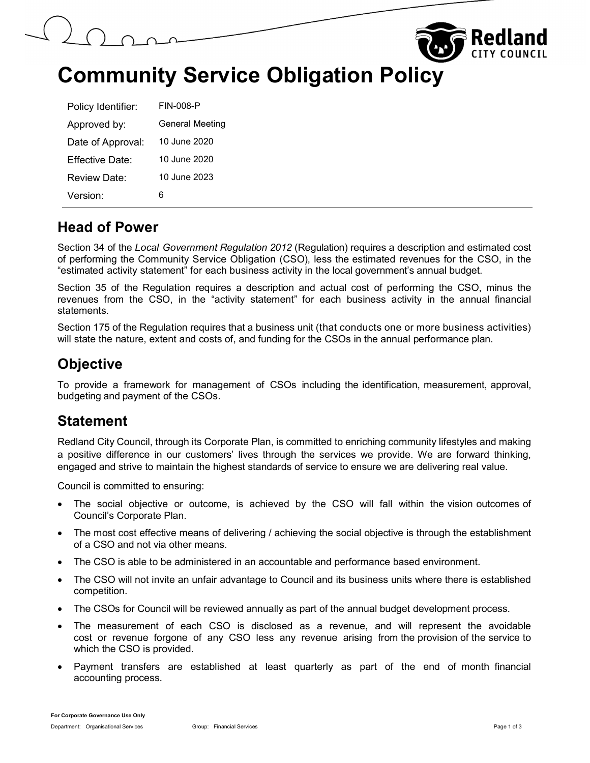



# Community Service Obligation Policy

| Policy Identifier: | <b>FIN-008-P</b> |
|--------------------|------------------|
| Approved by:       | General Meeting  |
| Date of Approval:  | 10 June 2020     |
| Effective Date:    | 10 June 2020     |
| Review Date:       | 10 June 2023     |
| Version:           | Ⴌ                |

#### Head of Power

Section 34 of the Local Government Regulation 2012 (Regulation) requires a description and estimated cost of performing the Community Service Obligation (CSO), less the estimated revenues for the CSO, in the "estimated activity statement" for each business activity in the local government's annual budget.

Section 35 of the Regulation requires a description and actual cost of performing the CSO, minus the revenues from the CSO, in the "activity statement" for each business activity in the annual financial statements.

Section 175 of the Regulation requires that a business unit (that conducts one or more business activities) will state the nature, extent and costs of, and funding for the CSOs in the annual performance plan.

## **Objective**

To provide a framework for management of CSOs including the identification, measurement, approval, budgeting and payment of the CSOs.

#### Statement

Redland City Council, through its Corporate Plan, is committed to enriching community lifestyles and making a positive difference in our customers' lives through the services we provide. We are forward thinking, engaged and strive to maintain the highest standards of service to ensure we are delivering real value.

Council is committed to ensuring:

- The social objective or outcome, is achieved by the CSO will fall within the vision outcomes of Council's Corporate Plan.
- The most cost effective means of delivering / achieving the social objective is through the establishment of a CSO and not via other means.
- The CSO is able to be administered in an accountable and performance based environment.
- The CSO will not invite an unfair advantage to Council and its business units where there is established competition.
- The CSOs for Council will be reviewed annually as part of the annual budget development process.
- The measurement of each CSO is disclosed as a revenue, and will represent the avoidable cost or revenue forgone of any CSO less any revenue arising from the provision of the service to which the CSO is provided.
- Payment transfers are established at least quarterly as part of the end of month financial accounting process.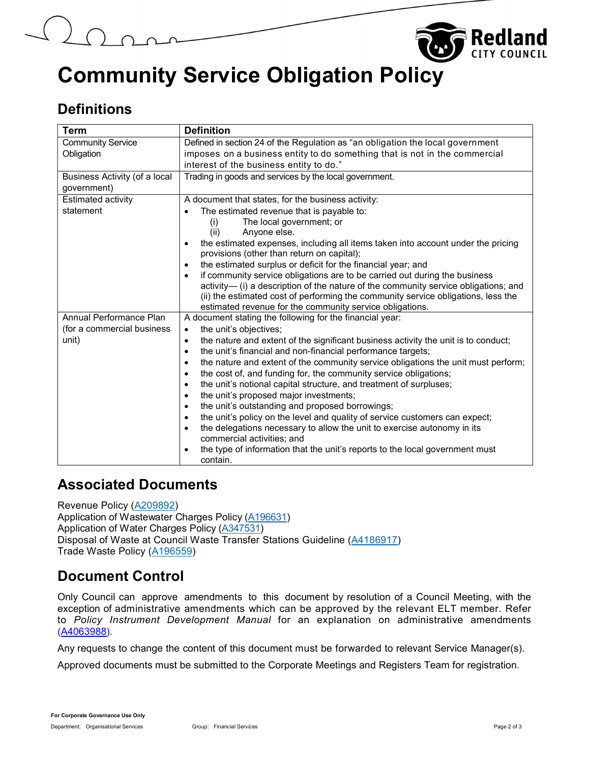

# Community Service Obligation Policy

# **Definitions**

| <b>Term</b>                   | <b>Definition</b>                                                                                                                                                                                                                                                                                                              |
|-------------------------------|--------------------------------------------------------------------------------------------------------------------------------------------------------------------------------------------------------------------------------------------------------------------------------------------------------------------------------|
| <b>Community Service</b>      | Defined in section 24 of the Regulation as "an obligation the local government                                                                                                                                                                                                                                                 |
| Obligation                    | imposes on a business entity to do something that is not in the commercial                                                                                                                                                                                                                                                     |
|                               | interest of the business entity to do."                                                                                                                                                                                                                                                                                        |
| Business Activity (of a local | Trading in goods and services by the local government.                                                                                                                                                                                                                                                                         |
| government)                   |                                                                                                                                                                                                                                                                                                                                |
| Estimated activity            | A document that states, for the business activity:                                                                                                                                                                                                                                                                             |
| statement                     | The estimated revenue that is payable to:                                                                                                                                                                                                                                                                                      |
|                               | The local government; or<br>(i)                                                                                                                                                                                                                                                                                                |
|                               | (ii)<br>Anyone else.                                                                                                                                                                                                                                                                                                           |
|                               | the estimated expenses, including all items taken into account under the pricing<br>$\bullet$<br>provisions (other than return on capital);                                                                                                                                                                                    |
|                               | the estimated surplus or deficit for the financial year; and<br>$\bullet$                                                                                                                                                                                                                                                      |
|                               | if community service obligations are to be carried out during the business<br>$\bullet$<br>activity-(i) a description of the nature of the community service obligations; and<br>(ii) the estimated cost of performing the community service obligations, less the<br>estimated revenue for the community service obligations. |
| Annual Performance Plan       | A document stating the following for the financial year:                                                                                                                                                                                                                                                                       |
| (for a commercial business    | the unit's objectives;<br>$\bullet$                                                                                                                                                                                                                                                                                            |
| unit)                         | the nature and extent of the significant business activity the unit is to conduct;<br>$\bullet$<br>the unit's financial and non-financial performance targets;<br>$\bullet$                                                                                                                                                    |
|                               | the nature and extent of the community service obligations the unit must perform;<br>$\bullet$                                                                                                                                                                                                                                 |
|                               | the cost of, and funding for, the community service obligations;<br>$\bullet$                                                                                                                                                                                                                                                  |
|                               | the unit's notional capital structure, and treatment of surpluses;<br>$\bullet$                                                                                                                                                                                                                                                |
|                               | the unit's proposed major investments;<br>$\bullet$                                                                                                                                                                                                                                                                            |
|                               | the unit's outstanding and proposed borrowings;<br>$\bullet$                                                                                                                                                                                                                                                                   |
|                               | the unit's policy on the level and quality of service customers can expect;<br>$\bullet$                                                                                                                                                                                                                                       |
|                               | the delegations necessary to allow the unit to exercise autonomy in its<br>$\bullet$<br>commercial activities; and                                                                                                                                                                                                             |
|                               | the type of information that the unit's reports to the local government must<br>$\bullet$<br>contain.                                                                                                                                                                                                                          |

## Associated Documents

Revenue Policy (A209892) Application of Wastewater Charges Policy (A196631) Application of Water Charges Policy (A347531) Disposal of Waste at Council Waste Transfer Stations Guideline (A4186917) Trade Waste Policy (A196559)

## Document Control

Only Council can approve amendments to this document by resolution of a Council Meeting, with the exception of administrative amendments which can be approved by the relevant ELT member. Refer to Policy Instrument Development Manual for an explanation on administrative amendments (A4063988).

Any requests to change the content of this document must be forwarded to relevant Service Manager(s).

Approved documents must be submitted to the Corporate Meetings and Registers Team for registration.